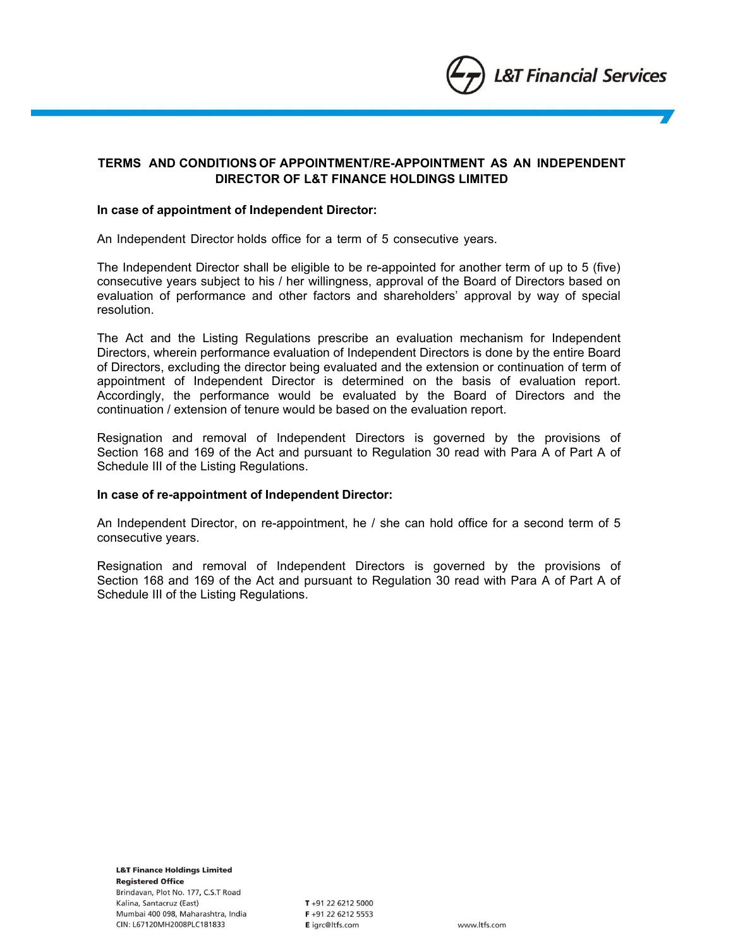

# **TERMS AND CONDITIONS OF APPOINTMENT/RE-APPOINTMENT AS AN INDEPENDENT DIRECTOR OF L&T FINANCE HOLDINGS LIMITED**

#### **In case of appointment of Independent Director:**

An Independent Director holds office for a term of 5 consecutive years.

The Independent Director shall be eligible to be re-appointed for another term of up to 5 (five) consecutive years subject to his / her willingness, approval of the Board of Directors based on evaluation of performance and other factors and shareholders' approval by way of special resolution.

The Act and the Listing Regulations prescribe an evaluation mechanism for Independent Directors, wherein performance evaluation of Independent Directors is done by the entire Board of Directors, excluding the director being evaluated and the extension or continuation of term of appointment of Independent Director is determined on the basis of evaluation report. Accordingly, the performance would be evaluated by the Board of Directors and the continuation / extension of tenure would be based on the evaluation report.

Resignation and removal of Independent Directors is governed by the provisions of Section 168 and 169 of the Act and pursuant to Regulation 30 read with Para A of Part A of Schedule III of the Listing Regulations.

#### **In case of re-appointment of Independent Director:**

An Independent Director, on re-appointment, he / she can hold office for a second term of 5 consecutive years.

Resignation and removal of Independent Directors is governed by the provisions of Section 168 and 169 of the Act and pursuant to Regulation 30 read with Para A of Part A of Schedule III of the Listing Regulations.

**L&T Finance Holdings Limited Registered Office** Brindavan, Plot No. 177, C.S.T Road Kalina, Santacruz (East) Mumbai 400 098, Maharashtra, India CIN: L67120MH2008PLC181833

T+91 22 6212 5000  $F + 91$  22 6212 5553 E igrc@ltfs.com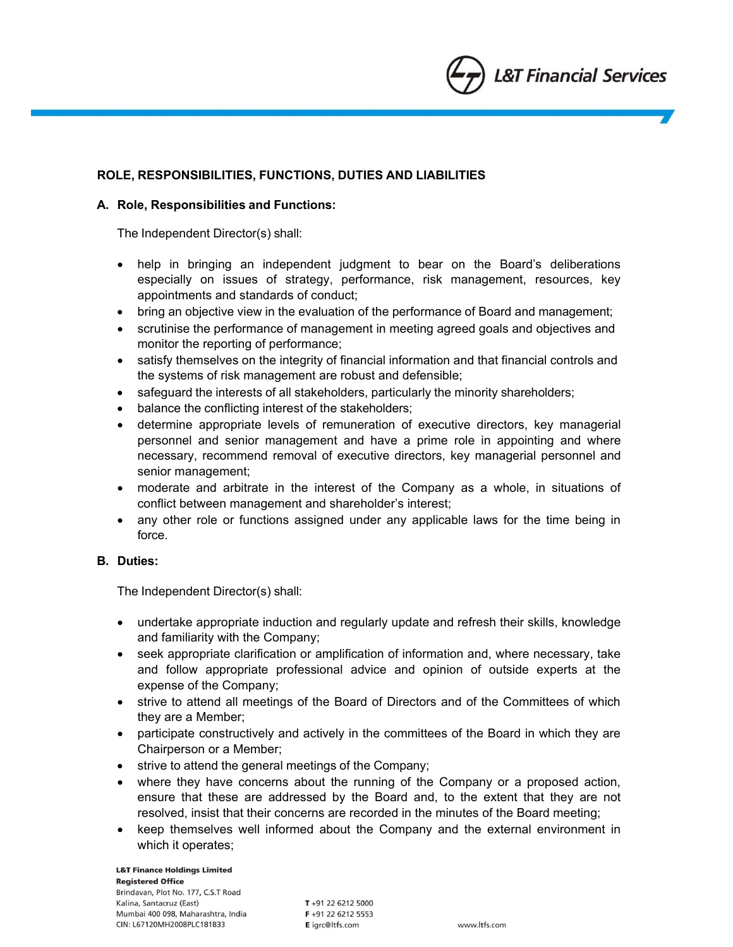

# **ROLE, RESPONSIBILITIES, FUNCTIONS, DUTIES AND LIABILITIES**

### **A. Role, Responsibilities and Functions:**

The Independent Director(s) shall:

- help in bringing an independent judgment to bear on the Board's deliberations especially on issues of strategy, performance, risk management, resources, key appointments and standards of conduct;
- bring an objective view in the evaluation of the performance of Board and management;
- scrutinise the performance of management in meeting agreed goals and objectives and monitor the reporting of performance;
- satisfy themselves on the integrity of financial information and that financial controls and the systems of risk management are robust and defensible;
- safeguard the interests of all stakeholders, particularly the minority shareholders;
- balance the conflicting interest of the stakeholders;
- determine appropriate levels of remuneration of executive directors, key managerial personnel and senior management and have a prime role in appointing and where necessary, recommend removal of executive directors, key managerial personnel and senior management;
- moderate and arbitrate in the interest of the Company as a whole, in situations of conflict between management and shareholder's interest;
- any other role or functions assigned under any applicable laws for the time being in force.

# **B. Duties:**

The Independent Director(s) shall:

- undertake appropriate induction and regularly update and refresh their skills, knowledge and familiarity with the Company;
- seek appropriate clarification or amplification of information and, where necessary, take and follow appropriate professional advice and opinion of outside experts at the expense of the Company;
- strive to attend all meetings of the Board of Directors and of the Committees of which they are a Member;
- participate constructively and actively in the committees of the Board in which they are Chairperson or a Member;
- $\bullet$  strive to attend the general meetings of the Company;
- where they have concerns about the running of the Company or a proposed action, ensure that these are addressed by the Board and, to the extent that they are not resolved, insist that their concerns are recorded in the minutes of the Board meeting;
- keep themselves well informed about the Company and the external environment in which it operates;

**L&T Finance Holdings Limited Registered Office**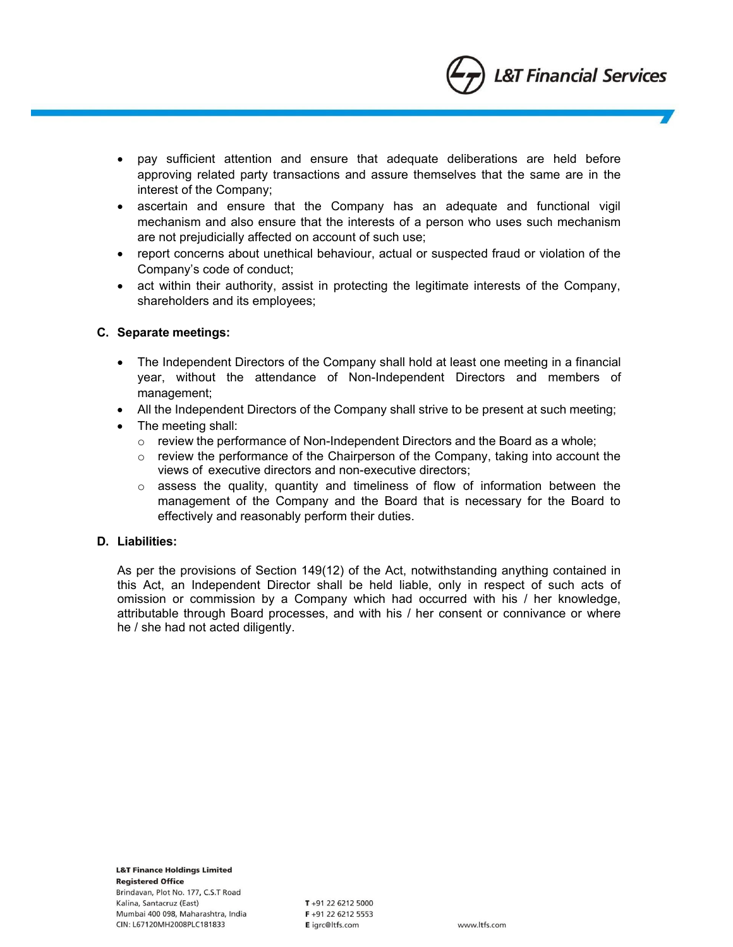

- pay sufficient attention and ensure that adequate deliberations are held before approving related party transactions and assure themselves that the same are in the interest of the Company;
- ascertain and ensure that the Company has an adequate and functional vigil mechanism and also ensure that the interests of a person who uses such mechanism are not prejudicially affected on account of such use;
- report concerns about unethical behaviour, actual or suspected fraud or violation of the Company's code of conduct;
- act within their authority, assist in protecting the legitimate interests of the Company, shareholders and its employees;

### **C. Separate meetings:**

- The Independent Directors of the Company shall hold at least one meeting in a financial year, without the attendance of Non-Independent Directors and members of management;
- All the Independent Directors of the Company shall strive to be present at such meeting;
- The meeting shall:
	- $\circ$  review the performance of Non-Independent Directors and the Board as a whole;
	- $\circ$  review the performance of the Chairperson of the Company, taking into account the views of executive directors and non-executive directors;
	- o assess the quality, quantity and timeliness of flow of information between the management of the Company and the Board that is necessary for the Board to effectively and reasonably perform their duties.

### **D. Liabilities:**

As per the provisions of Section 149(12) of the Act, notwithstanding anything contained in this Act, an Independent Director shall be held liable, only in respect of such acts of omission or commission by a Company which had occurred with his / her knowledge, attributable through Board processes, and with his / her consent or connivance or where he / she had not acted diligently.

**L&T Finance Holdings Limited Registered Office** Brindavan, Plot No. 177, C.S.T Road Kalina, Santacruz (East) Mumbai 400 098, Maharashtra, India CIN: L67120MH2008PLC181833

T+91 22 6212 5000  $F + 91$  22 6212 5553 E igrc@ltfs.com